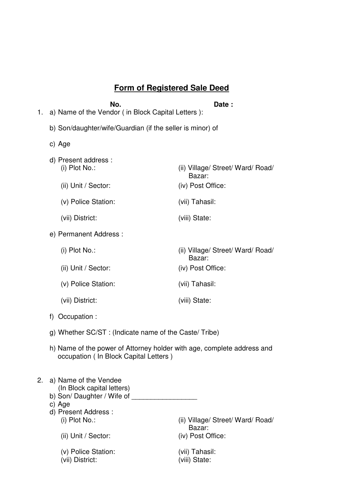# **Form of Registered Sale Deed**

| 1.                                                        | No.<br>Date:<br>a) Name of the Vendor (in Block Capital Letters):                                                 |                                             |  |  |
|-----------------------------------------------------------|-------------------------------------------------------------------------------------------------------------------|---------------------------------------------|--|--|
| b) Son/daughter/wife/Guardian (if the seller is minor) of |                                                                                                                   |                                             |  |  |
|                                                           | c) Age                                                                                                            |                                             |  |  |
|                                                           | d) Present address :<br>$(i)$ Plot No.:                                                                           | (ii) Village/ Street/ Ward/ Road/<br>Bazar: |  |  |
|                                                           | (ii) Unit / Sector:                                                                                               | (iv) Post Office:                           |  |  |
|                                                           | (v) Police Station:                                                                                               | (vii) Tahasil:                              |  |  |
|                                                           | (vii) District:                                                                                                   | (viii) State:                               |  |  |
|                                                           | e) Permanent Address :                                                                                            |                                             |  |  |
|                                                           | (i) Plot No.:                                                                                                     | (ii) Village/ Street/ Ward/ Road/<br>Bazar: |  |  |
|                                                           | (ii) Unit / Sector:                                                                                               | (iv) Post Office:                           |  |  |
|                                                           | (v) Police Station:                                                                                               | (vii) Tahasil:                              |  |  |
|                                                           | (vii) District:                                                                                                   | (viii) State:                               |  |  |
|                                                           | f) Occupation :                                                                                                   |                                             |  |  |
|                                                           | g) Whether SC/ST: (Indicate name of the Caste/ Tribe)                                                             |                                             |  |  |
|                                                           | h) Name of the power of Attorney holder with age, complete address and<br>occupation ( In Block Capital Letters ) |                                             |  |  |
| 2                                                         | مه/Alama of the Vandee                                                                                            |                                             |  |  |

- 2. a) Name of the Vendee (In Block capital letters)
	- b) Son/ Daughter / Wife of \_\_\_\_\_\_\_\_\_\_\_\_\_\_\_\_\_
	- c) Age
	- d) Present Address :

(ii) Village/ Street/ Ward/ Road/ Bazar:<br>(iv) Post Office:

- (ii) Unit / Sector:
- (v) Police Station: (vii) Tahasil:
- $(vii)$  District: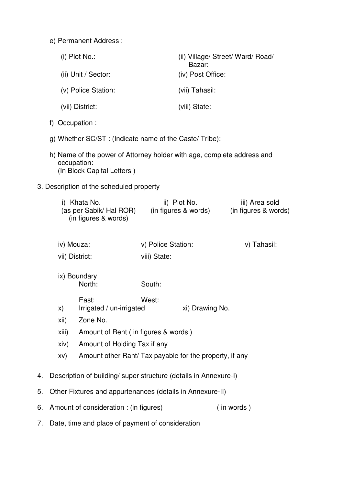e) Permanent Address :

|                                                                                                                     |                                                                                                 | $(i)$ Plot No.:                                                  |                    | Bazar:                               | (ii) Village/ Street/ Ward/ Road/      |  |  |
|---------------------------------------------------------------------------------------------------------------------|-------------------------------------------------------------------------------------------------|------------------------------------------------------------------|--------------------|--------------------------------------|----------------------------------------|--|--|
|                                                                                                                     |                                                                                                 | (ii) Unit / Sector:                                              |                    | (iv) Post Office:                    |                                        |  |  |
|                                                                                                                     |                                                                                                 | (v) Police Station:                                              |                    | (vii) Tahasil:                       |                                        |  |  |
|                                                                                                                     |                                                                                                 | (vii) District:                                                  |                    | (viii) State:                        |                                        |  |  |
|                                                                                                                     | f) Occupation :                                                                                 |                                                                  |                    |                                      |                                        |  |  |
| g) Whether SC/ST: (Indicate name of the Caste/ Tribe):                                                              |                                                                                                 |                                                                  |                    |                                      |                                        |  |  |
| h) Name of the power of Attorney holder with age, complete address and<br>occupation:<br>(In Block Capital Letters) |                                                                                                 |                                                                  |                    |                                      |                                        |  |  |
|                                                                                                                     |                                                                                                 | 3. Description of the scheduled property                         |                    |                                      |                                        |  |  |
|                                                                                                                     | i) Khata No.<br>(as per Sabik/ Hal ROR)<br>(in figures & words)<br>iv) Mouza:<br>vii) District: |                                                                  |                    | ii) Plot No.<br>(in figures & words) | iii) Area sold<br>(in figures & words) |  |  |
|                                                                                                                     |                                                                                                 |                                                                  | v) Police Station: |                                      | v) Tahasil:                            |  |  |
|                                                                                                                     |                                                                                                 |                                                                  | viii) State:       |                                      |                                        |  |  |
|                                                                                                                     |                                                                                                 | ix) Boundary<br>North:                                           | South:             |                                      |                                        |  |  |
|                                                                                                                     | X)                                                                                              | East:<br>Irrigated / un-irrigated                                | West:              | xi) Drawing No.                      |                                        |  |  |
|                                                                                                                     | Zone No.<br>xii)                                                                                |                                                                  |                    |                                      |                                        |  |  |
|                                                                                                                     | Amount of Rent (in figures & words)<br>xiii)<br>Amount of Holding Tax if any<br>xiiv)           |                                                                  |                    |                                      |                                        |  |  |
|                                                                                                                     |                                                                                                 |                                                                  |                    |                                      |                                        |  |  |
|                                                                                                                     |                                                                                                 |                                                                  |                    |                                      |                                        |  |  |
|                                                                                                                     | XV)                                                                                             | Amount other Rant/ Tax payable for the property, if any          |                    |                                      |                                        |  |  |
| 4.                                                                                                                  |                                                                                                 | Description of building/ super structure (details in Annexure-I) |                    |                                      |                                        |  |  |
| 5.                                                                                                                  |                                                                                                 | Other Fixtures and appurtenances (details in Annexure-II)        |                    |                                      |                                        |  |  |
| 6.                                                                                                                  |                                                                                                 | Amount of consideration : (in figures)                           |                    |                                      | (in words)                             |  |  |

7. Date, time and place of payment of consideration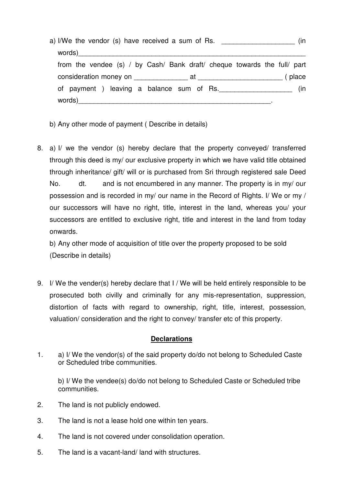| a) I/We the vendor (s) have received a sum of Rs. |                                                                          | (In |
|---------------------------------------------------|--------------------------------------------------------------------------|-----|
|                                                   |                                                                          |     |
|                                                   | from the vendee (s) / by Cash/ Bank draft/ cheque towards the full/ part |     |
|                                                   |                                                                          |     |
|                                                   | of payment) leaving a balance sum of Rs.                                 | (in |
|                                                   |                                                                          |     |

- b) Any other mode of payment ( Describe in details)
- 8. a) I/ we the vendor (s) hereby declare that the property conveyed/ transferred through this deed is my/ our exclusive property in which we have valid title obtained through inheritance/ gift/ will or is purchased from Sri through registered sale Deed No. dt. and is not encumbered in any manner. The property is in my/ our possession and is recorded in my/ our name in the Record of Rights. I/ We or my / our successors will have no right, title, interest in the land, whereas you/ your successors are entitled to exclusive right, title and interest in the land from today onwards.

b) Any other mode of acquisition of title over the property proposed to be sold (Describe in details)

9. I/ We the vender(s) hereby declare that I / We will be held entirely responsible to be prosecuted both civilly and criminally for any mis-representation, suppression, distortion of facts with regard to ownership, right, title, interest, possession, valuation/ consideration and the right to convey/ transfer etc of this property.

#### **Declarations**

1. a) I/ We the vendor(s) of the said property do/do not belong to Scheduled Caste or Scheduled tribe communities.

b) I/ We the vendee(s) do/do not belong to Scheduled Caste or Scheduled tribe communities.

- 2. The land is not publicly endowed.
- 3. The land is not a lease hold one within ten years.
- 4. The land is not covered under consolidation operation.
- 5. The land is a vacant-land/ land with structures.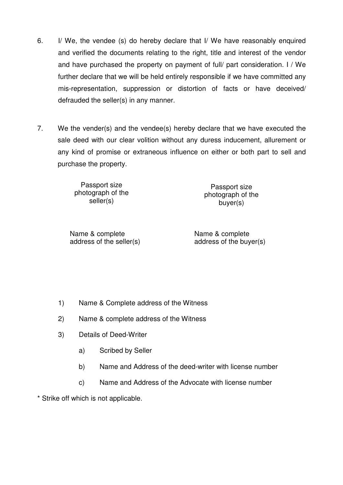- 6. I/ We, the vendee (s) do hereby declare that I/ We have reasonably enquired and verified the documents relating to the right, title and interest of the vendor and have purchased the property on payment of full/ part consideration. I / We further declare that we will be held entirely responsible if we have committed any mis-representation, suppression or distortion of facts or have deceived/ defrauded the seller(s) in any manner.
- 7. We the vender(s) and the vendee(s) hereby declare that we have executed the sale deed with our clear volition without any duress inducement, allurement or any kind of promise or extraneous influence on either or both part to sell and purchase the property.

Passport size photograph of the seller(s)

Passport size photograph of the buyer(s)

Name & complete address of the seller(s) Name & complete address of the buyer(s)

- 1) Name & Complete address of the Witness
- 2) Name & complete address of the Witness
- 3) Details of Deed-Writer
	- a) Scribed by Seller
	- b) Name and Address of the deed-writer with license number
	- c) Name and Address of the Advocate with license number

\* Strike off which is not applicable.